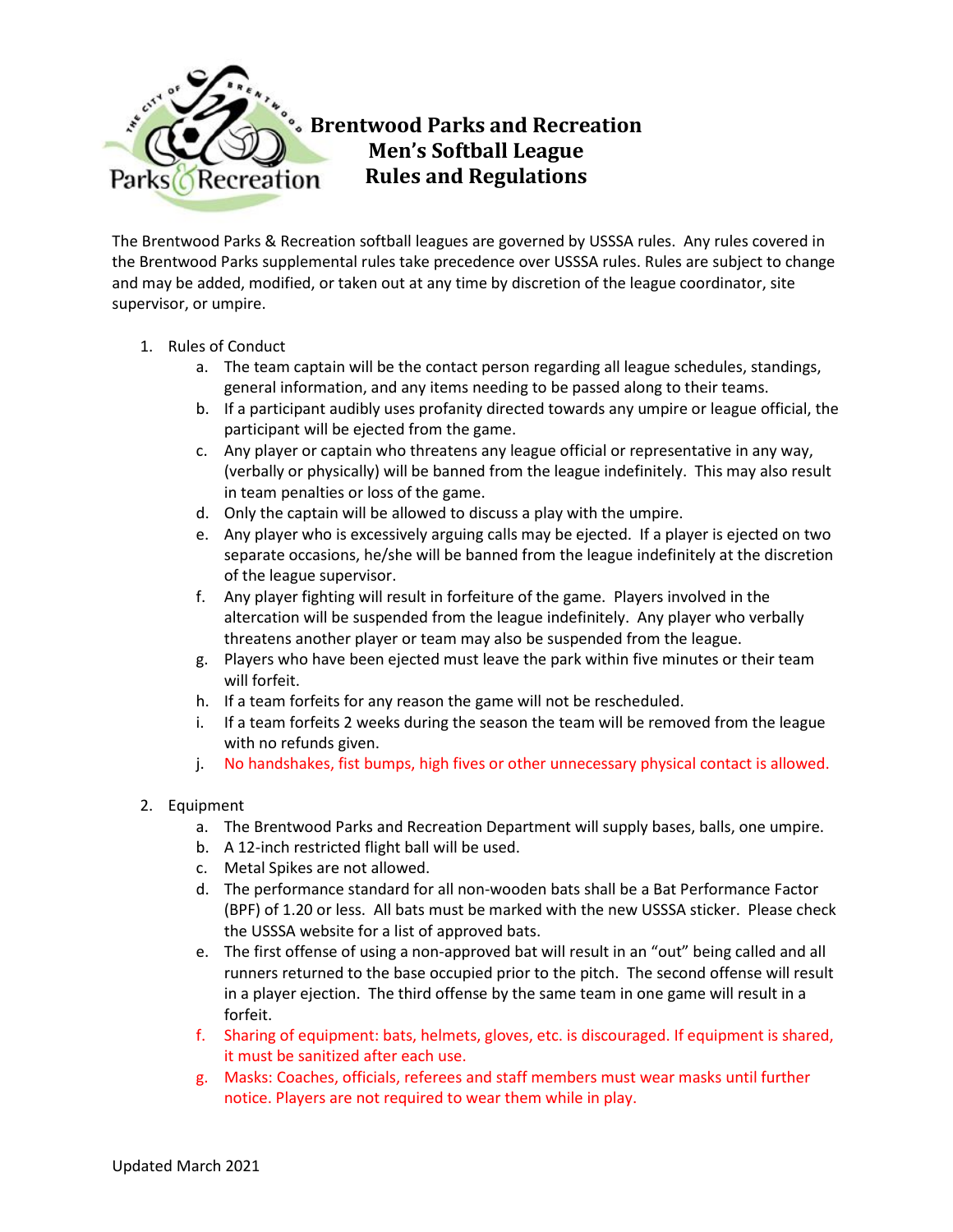

## **Brentwood Parks and Recreation Men's Softball League Rules and Regulations**

The Brentwood Parks & Recreation softball leagues are governed by USSSA rules. Any rules covered in the Brentwood Parks supplemental rules take precedence over USSSA rules. Rules are subject to change and may be added, modified, or taken out at any time by discretion of the league coordinator, site supervisor, or umpire.

## 1. Rules of Conduct

- a. The team captain will be the contact person regarding all league schedules, standings, general information, and any items needing to be passed along to their teams.
- b. If a participant audibly uses profanity directed towards any umpire or league official, the participant will be ejected from the game.
- c. Any player or captain who threatens any league official or representative in any way, (verbally or physically) will be banned from the league indefinitely. This may also result in team penalties or loss of the game.
- d. Only the captain will be allowed to discuss a play with the umpire.
- e. Any player who is excessively arguing calls may be ejected. If a player is ejected on two separate occasions, he/she will be banned from the league indefinitely at the discretion of the league supervisor.
- f. Any player fighting will result in forfeiture of the game. Players involved in the altercation will be suspended from the league indefinitely. Any player who verbally threatens another player or team may also be suspended from the league.
- g. Players who have been ejected must leave the park within five minutes or their team will forfeit.
- h. If a team forfeits for any reason the game will not be rescheduled.
- i. If a team forfeits 2 weeks during the season the team will be removed from the league with no refunds given.
- j. No handshakes, fist bumps, high fives or other unnecessary physical contact is allowed.
- 2. Equipment
	- a. The Brentwood Parks and Recreation Department will supply bases, balls, one umpire.
	- b. A 12-inch restricted flight ball will be used.
	- c. Metal Spikes are not allowed.
	- d. The performance standard for all non-wooden bats shall be a Bat Performance Factor (BPF) of 1.20 or less.All bats must be marked with the new USSSA sticker. Please check the USSSA website for a list of approved bats.
	- e. The first offense of using a non-approved bat will result in an "out" being called and all runners returned to the base occupied prior to the pitch. The second offense will result in a player ejection. The third offense by the same team in one game will result in a forfeit.
	- f. Sharing of equipment: bats, helmets, gloves, etc. is discouraged. If equipment is shared, it must be sanitized after each use.
	- g. Masks: Coaches, officials, referees and staff members must wear masks until further notice. Players are not required to wear them while in play.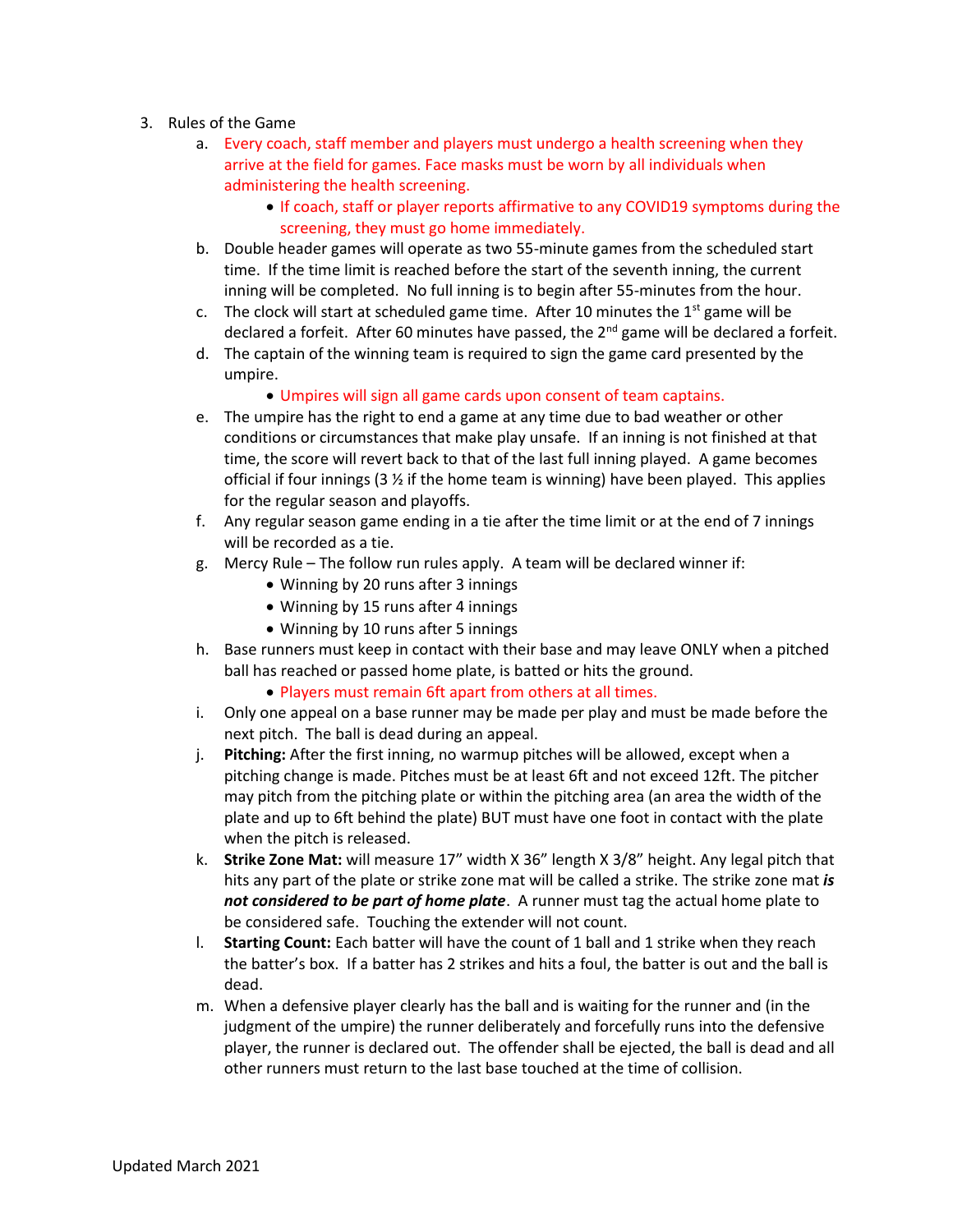- 3. Rules of the Game
	- a. Every coach, staff member and players must undergo a health screening when they arrive at the field for games. Face masks must be worn by all individuals when administering the health screening.
		- If coach, staff or player reports affirmative to any COVID19 symptoms during the screening, they must go home immediately.
	- b. Double header games will operate as two 55-minute games from the scheduled start time. If the time limit is reached before the start of the seventh inning, the current inning will be completed. No full inning is to begin after 55-minutes from the hour.
	- c. The clock will start at scheduled game time. After 10 minutes the  $1<sup>st</sup>$  game will be declared a forfeit. After 60 minutes have passed, the  $2^{nd}$  game will be declared a forfeit.
	- d. The captain of the winning team is required to sign the game card presented by the umpire.
		- Umpires will sign all game cards upon consent of team captains.
	- e. The umpire has the right to end a game at any time due to bad weather or other conditions or circumstances that make play unsafe. If an inning is not finished at that time, the score will revert back to that of the last full inning played. A game becomes official if four innings (3  $\times$  if the home team is winning) have been played. This applies for the regular season and playoffs.
	- f. Any regular season game ending in a tie after the time limit or at the end of 7 innings will be recorded as a tie.
	- g. Mercy Rule The follow run rules apply. A team will be declared winner if:
		- Winning by 20 runs after 3 innings
		- Winning by 15 runs after 4 innings
		- Winning by 10 runs after 5 innings
	- h. Base runners must keep in contact with their base and may leave ONLY when a pitched ball has reached or passed home plate, is batted or hits the ground.
		- Players must remain 6ft apart from others at all times.
	- i. Only one appeal on a base runner may be made per play and must be made before the next pitch. The ball is dead during an appeal.
	- j. **Pitching:** After the first inning, no warmup pitches will be allowed, except when a pitching change is made. Pitches must be at least 6ft and not exceed 12ft. The pitcher may pitch from the pitching plate or within the pitching area (an area the width of the plate and up to 6ft behind the plate) BUT must have one foot in contact with the plate when the pitch is released.
	- k. **Strike Zone Mat:** will measure 17" width X 36" length X 3/8" height. Any legal pitch that hits any part of the plate or strike zone mat will be called a strike. The strike zone mat *is not considered to be part of home plate*. A runner must tag the actual home plate to be considered safe. Touching the extender will not count.
	- l. **Starting Count:** Each batter will have the count of 1 ball and 1 strike when they reach the batter's box. If a batter has 2 strikes and hits a foul, the batter is out and the ball is dead.
	- m. When a defensive player clearly has the ball and is waiting for the runner and (in the judgment of the umpire) the runner deliberately and forcefully runs into the defensive player, the runner is declared out. The offender shall be ejected, the ball is dead and all other runners must return to the last base touched at the time of collision.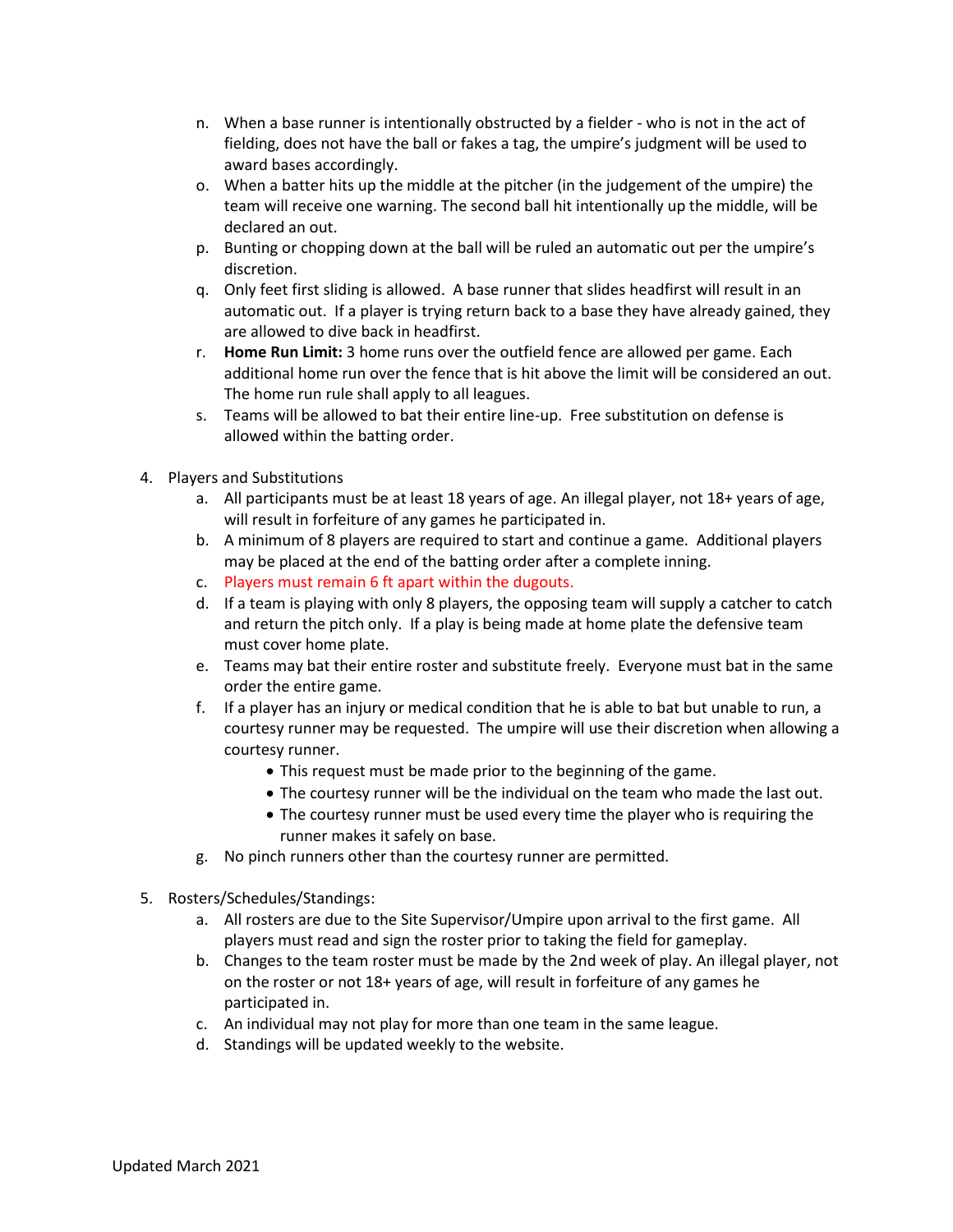- n. When a base runner is intentionally obstructed by a fielder who is not in the act of fielding, does not have the ball or fakes a tag, the umpire's judgment will be used to award bases accordingly.
- o. When a batter hits up the middle at the pitcher (in the judgement of the umpire) the team will receive one warning. The second ball hit intentionally up the middle, will be declared an out.
- p. Bunting or chopping down at the ball will be ruled an automatic out per the umpire's discretion.
- q. Only feet first sliding is allowed. A base runner that slides headfirst will result in an automatic out. If a player is trying return back to a base they have already gained, they are allowed to dive back in headfirst.
- r. **Home Run Limit:** 3 home runs over the outfield fence are allowed per game. Each additional home run over the fence that is hit above the limit will be considered an out. The home run rule shall apply to all leagues.
- s. Teams will be allowed to bat their entire line-up. Free substitution on defense is allowed within the batting order.
- 4. Players and Substitutions
	- a. All participants must be at least 18 years of age. An illegal player, not 18+ years of age, will result in forfeiture of any games he participated in.
	- b. A minimum of 8 players are required to start and continue a game. Additional players may be placed at the end of the batting order after a complete inning.
	- c. Players must remain 6 ft apart within the dugouts.
	- d. If a team is playing with only 8 players, the opposing team will supply a catcher to catch and return the pitch only. If a play is being made at home plate the defensive team must cover home plate.
	- e. Teams may bat their entire roster and substitute freely. Everyone must bat in the same order the entire game.
	- f. If a player has an injury or medical condition that he is able to bat but unable to run, a courtesy runner may be requested. The umpire will use their discretion when allowing a courtesy runner.
		- This request must be made prior to the beginning of the game.
		- The courtesy runner will be the individual on the team who made the last out.
		- The courtesy runner must be used every time the player who is requiring the runner makes it safely on base.
	- g. No pinch runners other than the courtesy runner are permitted.
- 5. Rosters/Schedules/Standings:
	- a. All rosters are due to the Site Supervisor/Umpire upon arrival to the first game. All players must read and sign the roster prior to taking the field for gameplay.
	- b. Changes to the team roster must be made by the 2nd week of play. An illegal player, not on the roster or not 18+ years of age, will result in forfeiture of any games he participated in.
	- c. An individual may not play for more than one team in the same league.
	- d. Standings will be updated weekly to the website.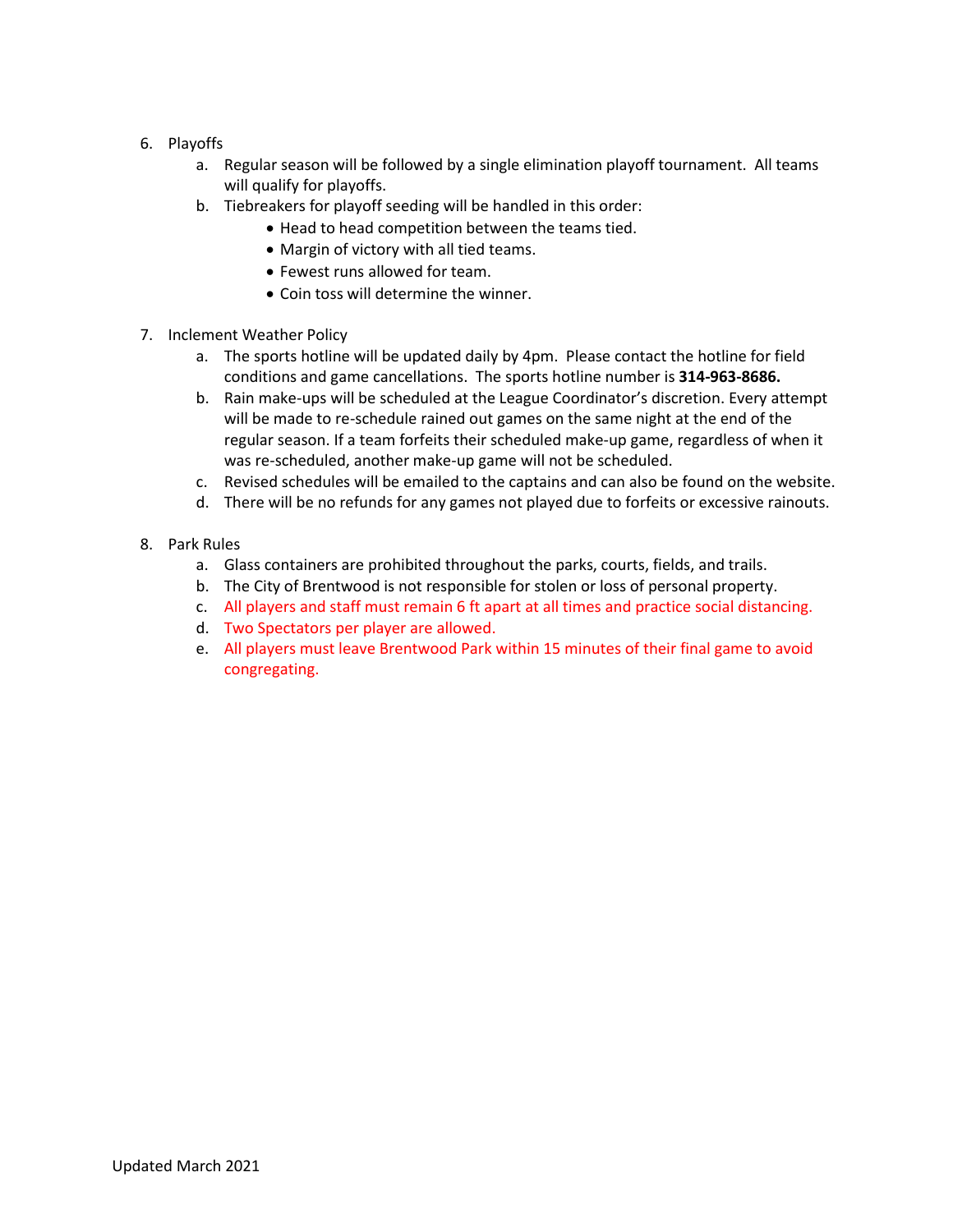- 6. Playoffs
	- a. Regular season will be followed by a single elimination playoff tournament. All teams will qualify for playoffs.
	- b. Tiebreakers for playoff seeding will be handled in this order:
		- Head to head competition between the teams tied.
		- Margin of victory with all tied teams.
		- Fewest runs allowed for team.
		- Coin toss will determine the winner.
- 7. Inclement Weather Policy
	- a. The sports hotline will be updated daily by 4pm. Please contact the hotline for field conditions and game cancellations. The sports hotline number is **314-963-8686.**
	- b. Rain make-ups will be scheduled at the League Coordinator's discretion. Every attempt will be made to re-schedule rained out games on the same night at the end of the regular season. If a team forfeits their scheduled make-up game, regardless of when it was re-scheduled, another make-up game will not be scheduled.
	- c. Revised schedules will be emailed to the captains and can also be found on the website.
	- d. There will be no refunds for any games not played due to forfeits or excessive rainouts.
- 8. Park Rules
	- a. Glass containers are prohibited throughout the parks, courts, fields, and trails.
	- b. The City of Brentwood is not responsible for stolen or loss of personal property.
	- c. All players and staff must remain 6 ft apart at all times and practice social distancing.
	- d. Two Spectators per player are allowed.
	- e. All players must leave Brentwood Park within 15 minutes of their final game to avoid congregating.